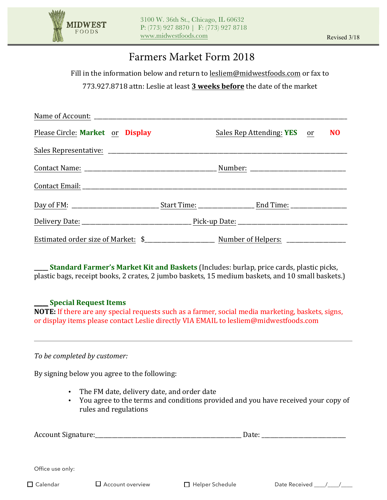

# Farmers Market Form 2018

Fill in the information below and return to lesliem@midwestfoods.com or fax to

773.927.8718 attn: Leslie at least **3 weeks before** the date of the market

| Please Circle: Market or Display |  | Sales Rep Attending: <b>YES</b> or <b>NO</b> |  |
|----------------------------------|--|----------------------------------------------|--|
|                                  |  |                                              |  |
|                                  |  |                                              |  |
|                                  |  |                                              |  |
|                                  |  |                                              |  |
|                                  |  |                                              |  |
|                                  |  |                                              |  |

**Standard Farmer's Market Kit and Baskets** (Includes: burlap, price cards, plastic picks, plastic bags, receipt books, 2 crates, 2 jumbo baskets, 15 medium baskets, and 10 small baskets.)

#### **Special Request Items**

**NOTE:** If there are any special requests such as a farmer, social media marketing, baskets, signs, or display items please contact Leslie directly VIA EMAIL to lesliem@midwestfoods.com

#### To be completed by customer:

By signing below you agree to the following:

- The FM date, delivery date, and order date
- You agree to the terms and conditions provided and you have received your copy of rules and regulations

| Account Signature: |                           | Date:                  |               |  |
|--------------------|---------------------------|------------------------|---------------|--|
|                    |                           |                        |               |  |
| Office use only:   |                           |                        |               |  |
| $\Box$ Calendar    | <b>□</b> Account overview | $\Box$ Helper Schedule | Date Received |  |